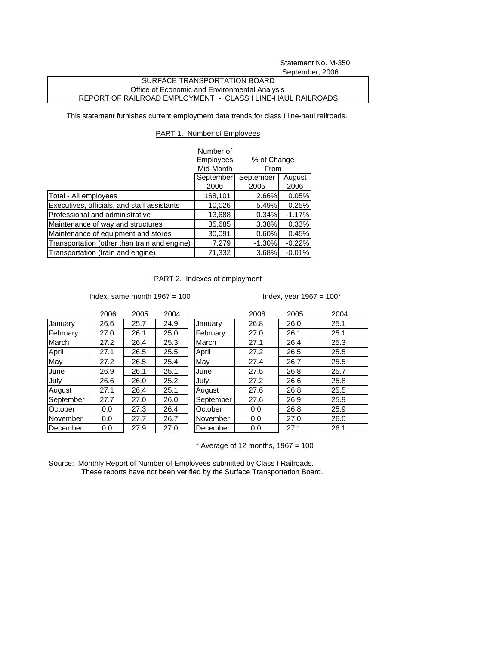Statement No. M-350 September, 2006

## SURFACE TRANSPORTATION BOARD Office of Economic and Environmental Analysis REPORT OF RAILROAD EMPLOYMENT - CLASS I LINE-HAUL RAILROADS

This statement furnishes current employment data trends for class I line-haul railroads.

## PART 1. Number of Employees

|                                              | Number of                                            |           |          |
|----------------------------------------------|------------------------------------------------------|-----------|----------|
|                                              | <b>Employees</b><br>% of Change<br>Mid-Month<br>From |           |          |
|                                              |                                                      |           |          |
|                                              | September                                            | September | August   |
|                                              | 2006                                                 | 2005      | 2006     |
| Total - All employees                        | 168,101                                              | 2.66%     | 0.05%    |
| Executives, officials, and staff assistants  | 10,026                                               | 5.49%     | 0.25%    |
| Professional and administrative              | 13,688                                               | 0.34%     | $-1.17%$ |
| Maintenance of way and structures            | 35,685                                               | 3.38%     | 0.33%    |
| Maintenance of equipment and stores          | 30,091                                               | 0.60%     | 0.45%    |
| Transportation (other than train and engine) | 7,279                                                | $-1.30%$  | $-0.22%$ |
| Transportation (train and engine)            | 71,332                                               | 3.68%     | $-0.01%$ |

## PART 2. Indexes of employment

Index, same month  $1967 = 100$  Index, year  $1967 = 100^*$ 

|           | 2006 | 2005 | 2004 |
|-----------|------|------|------|
| January   | 26.6 | 25.7 | 24.9 |
| February  | 27.0 | 26.1 | 25.0 |
| March     | 27.2 | 26.4 | 25.3 |
| April     | 27.1 | 26.5 | 25.5 |
| May       | 27.2 | 26.5 | 25.4 |
| June      | 26.9 | 26.1 | 25.1 |
| July      | 26.6 | 26.0 | 25.2 |
| August    | 27.1 | 26.4 | 25.1 |
| September | 27.7 | 27.0 | 26.0 |
| October   | 0.0  | 27.3 | 26.4 |
| November  | 0.0  | 27.7 | 26.7 |
| December  | 0.0  | 27.9 | 27.0 |

|           | 2006 | 2005 | 2004 |           | 2006 | 2005 | 2004 |
|-----------|------|------|------|-----------|------|------|------|
| January   | 26.6 | 25.7 | 24.9 | January   | 26.8 | 26.0 | 25.1 |
| February  | 27.0 | 26.1 | 25.0 | February  | 27.0 | 26.1 | 25.1 |
| March     | 27.2 | 26.4 | 25.3 | March     | 27.1 | 26.4 | 25.3 |
| April     | 27.1 | 26.5 | 25.5 | April     | 27.2 | 26.5 | 25.5 |
| May       | 27.2 | 26.5 | 25.4 | May       | 27.4 | 26.7 | 25.5 |
| June      | 26.9 | 26.1 | 25.1 | June      | 27.5 | 26.8 | 25.7 |
| July      | 26.6 | 26.0 | 25.2 | July      | 27.2 | 26.6 | 25.8 |
| August    | 27.1 | 26.4 | 25.1 | August    | 27.6 | 26.8 | 25.5 |
| September | 27.7 | 27.0 | 26.0 | September | 27.6 | 26.9 | 25.9 |
| October   | 0.0  | 27.3 | 26.4 | October   | 0.0  | 26.8 | 25.9 |
| November  | 0.0  | 27.7 | 26.7 | November  | 0.0  | 27.0 | 26.0 |
| December  | 0.0  | 27.9 | 27.0 | December  | 0.0  | 27.1 | 26.1 |
|           |      |      |      |           |      |      |      |

 $*$  Average of 12 months, 1967 = 100

Source: Monthly Report of Number of Employees submitted by Class I Railroads. These reports have not been verified by the Surface Transportation Board.